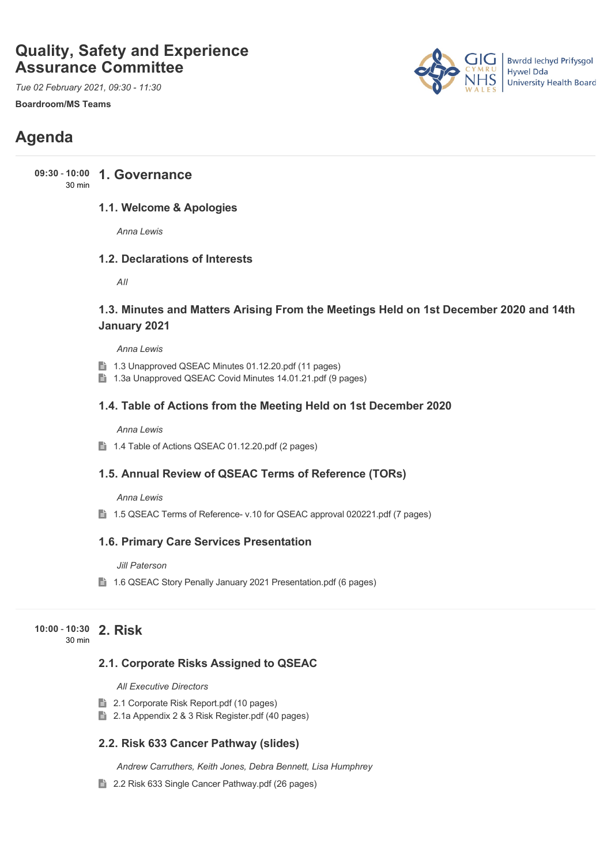# **Quality, Safety and Experience Assurance Committee**

*Tue 02 February 2021, 09:30 - 11:30*

**Boardroom/MS Teams**

# **Bwrdd lechyd Prifysgol** Hywel Dda **University Health Board**

# **Agenda**

**1. Governance 09:30** - **10:00** 30 min

### **1.1. Welcome & Apologies**

*Anna Lewis*

### **1.2. Declarations of Interests**

*All*

### **1.3. Minutes and Matters Arising From the Meetings Held on 1st December 2020 and 14th January 2021**

*Anna Lewis*

- **1.3 Unapproved QSEAC Minutes 01.12.20.pdf (11 pages)**
- 1.3a Unapproved QSEAC Covid Minutes 14.01.21.pdf (9 pages)

### **1.4. Table of Actions from the Meeting Held on 1st December 2020**

*Anna Lewis*

■ 1.4 Table of Actions QSEAC 01.12.20.pdf (2 pages)

### **1.5. Annual Review of QSEAC Terms of Reference (TORs)**

*Anna Lewis*

1.5 QSEAC Terms of Reference- v.10 for QSEAC approval 020221.pdf (7 pages)

### **1.6. Primary Care Services Presentation**

*Jill Paterson*

1.6 QSEAC Story Penally January 2021 Presentation.pdf (6 pages)

#### **2. Risk 10:00** - **10:30** 30 min

### **2.1. Corporate Risks Assigned to QSEAC**

*All Executive Directors*

- **2.1 Corporate Risk Report.pdf (10 pages)**
- 2.1a Appendix 2 & 3 Risk Register.pdf (40 pages)

### **2.2. Risk 633 Cancer Pathway (slides)**

*Andrew Carruthers, Keith Jones, Debra Bennett, Lisa Humphrey*

■ 2.2 Risk 633 Single Cancer Pathway.pdf (26 pages)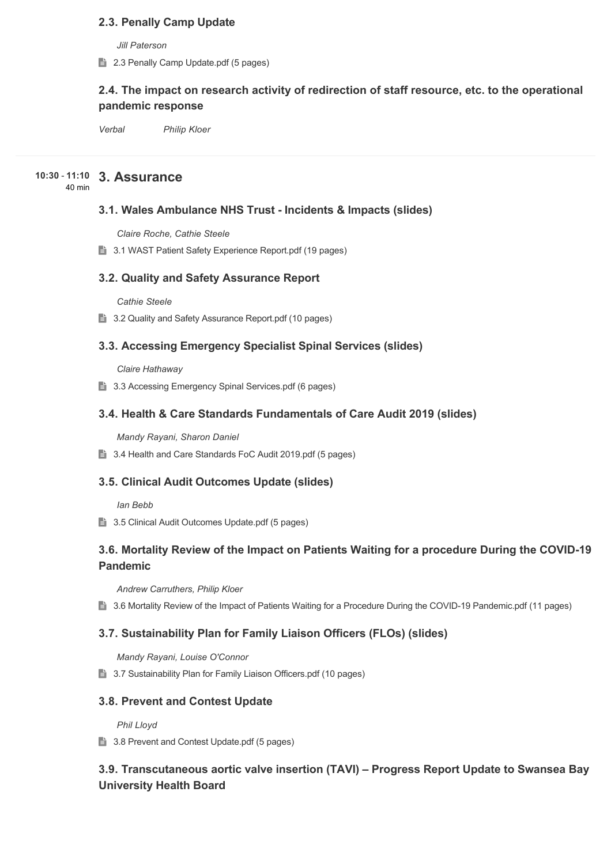#### **2.3. Penally Camp Update**

*Jill Paterson*

2.3 Penally Camp Update.pdf (5 pages)

### **2.4. The impact on research activity of redirection of staff resource, etc. to the operational pandemic response**

*Verbal Philip Kloer*

### **3. Assurance 10:30** - **11:10**

40 min

### **3.1. Wales Ambulance NHS Trust - Incidents & Impacts (slides)**

*Claire Roche, Cathie Steele*

**3.1 WAST Patient Safety Experience Report.pdf (19 pages)** 

### **3.2. Quality and Safety Assurance Report**

*Cathie Steele*

**■ 3.2 Quality and Safety Assurance Report.pdf (10 pages)** 

### **3.3. Accessing Emergency Specialist Spinal Services (slides)**

*Claire Hathaway*

■ 3.3 Accessing Emergency Spinal Services.pdf (6 pages)

### **3.4. Health & Care Standards Fundamentals of Care Audit 2019 (slides)**

*Mandy Rayani, Sharon Daniel*

■ 3.4 Health and Care Standards FoC Audit 2019.pdf (5 pages)

### **3.5. Clinical Audit Outcomes Update (slides)**

*Ian Bebb*

**3.5 Clinical Audit Outcomes Update.pdf (5 pages)** 

### **3.6. Mortality Review of the Impact on Patients Waiting for a procedure During the COVID-19 Pandemic**

*Andrew Carruthers, Philip Kloer*

3.6 Mortality Review of the Impact of Patients Waiting for a Procedure During the COVID-19 Pandemic.pdf (11 pages)

### **3.7. Sustainability Plan for Family Liaison Officers (FLOs) (slides)**

*Mandy Rayani, Louise O'Connor*

**■ 3.7 Sustainability Plan for Family Liaison Officers.pdf (10 pages)** 

#### **3.8. Prevent and Contest Update**

*Phil Lloyd*

3.8 Prevent and Contest Update.pdf (5 pages)

### **3.9. Transcutaneous aortic valve insertion (TAVI) – Progress Report Update to Swansea Bay University Health Board**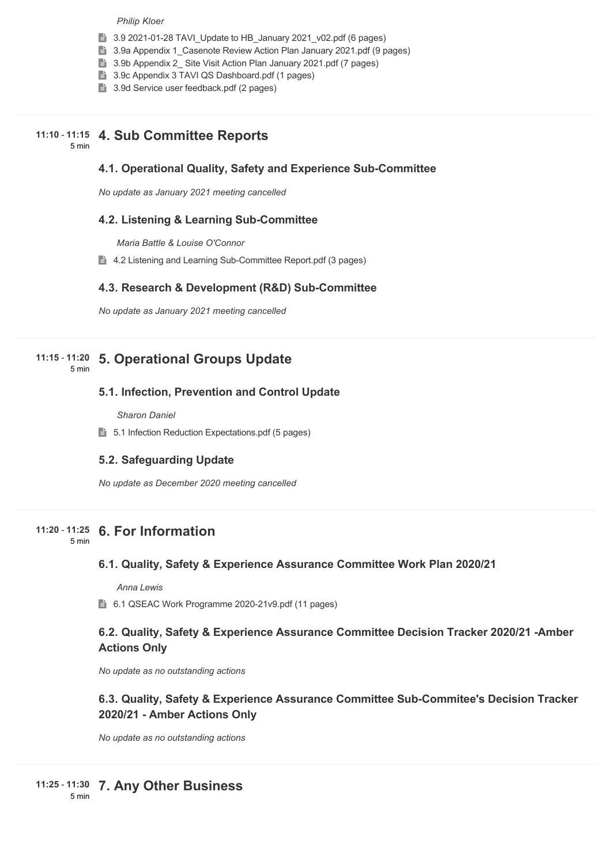#### *Philip Kloer*

- **3.9 2021-01-28 TAVI\_Update to HB\_January 2021\_v02.pdf (6 pages)**
- 3.9a Appendix 1\_Casenote Review Action Plan January 2021.pdf (9 pages)
- 3.9b Appendix 2 Site Visit Action Plan January 2021.pdf (7 pages)
- 3.9c Appendix 3 TAVI QS Dashboard.pdf (1 pages)
- 3.9d Service user feedback.pdf (2 pages)

### **4. Sub Committee Reports 11:10** - **11:15**

5 min

### **4.1. Operational Quality, Safety and Experience Sub-Committee**

*No update as January 2021 meeting cancelled* 

#### **4.2. Listening & Learning Sub-Committee**

*Maria Battle & Louise O'Connor*

**■ 4.2 Listening and Learning Sub-Committee Report.pdf (3 pages)** 

#### **4.3. Research & Development (R&D) Sub-Committee**

*No update as January 2021 meeting cancelled* 

### **5. Operational Groups Update 11:15** - **11:20**

5 min

#### **5.1. Infection, Prevention and Control Update**

*Sharon Daniel*

**5.1 Infection Reduction Expectations.pdf (5 pages)** 

#### **5.2. Safeguarding Update**

*No update as December 2020 meeting cancelled* 

### **6. For Information 11:20** - **11:25**

5 min

#### **6.1. Quality, Safety & Experience Assurance Committee Work Plan 2020/21**

*Anna Lewis*

6.1 QSEAC Work Programme 2020-21v9.pdf (11 pages)

### **6.2. Quality, Safety & Experience Assurance Committee Decision Tracker 2020/21 -Amber Actions Only**

*No update as no outstanding actions* 

### **6.3. Quality, Safety & Experience Assurance Committee Sub-Commitee's Decision Tracker 2020/21 - Amber Actions Only**

*No update as no outstanding actions* 

5 min